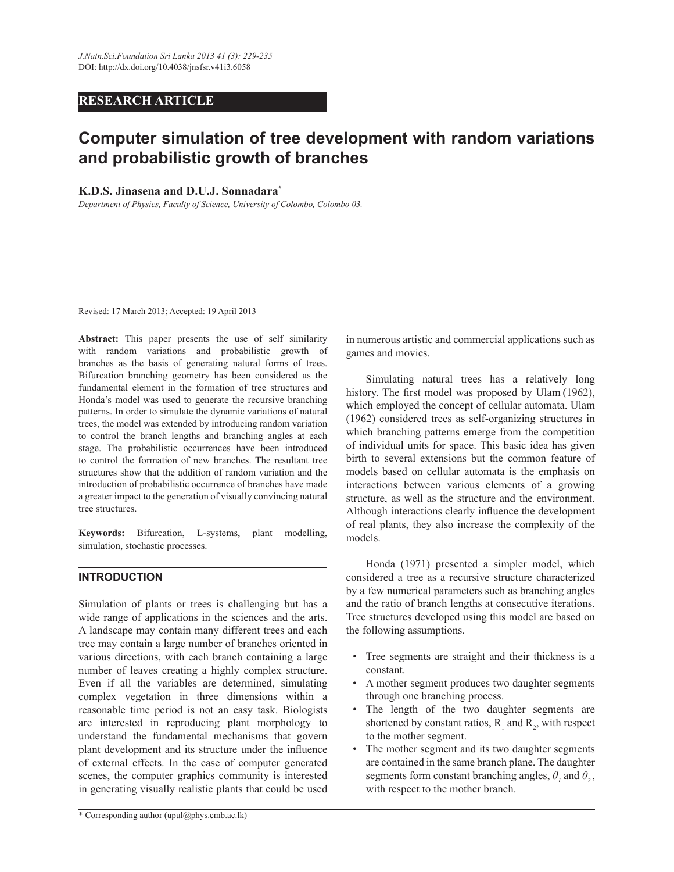# **RESEARCH ARTICLE**

# **Computer simulation of tree development with random variations and probabilistic growth of branches**

## **K.D.S. Jinasena and D.U.J. Sonnadara\***

*Department of Physics, Faculty of Science, University of Colombo, Colombo 03.*

Revised: 17 March 2013; Accepted: 19 April 2013

**Abstract:** This paper presents the use of self similarity with random variations and probabilistic growth of branches as the basis of generating natural forms of trees. Bifurcation branching geometry has been considered as the fundamental element in the formation of tree structures and Honda's model was used to generate the recursive branching patterns. In order to simulate the dynamic variations of natural trees, the model was extended by introducing random variation to control the branch lengths and branching angles at each stage. The probabilistic occurrences have been introduced to control the formation of new branches. The resultant tree structures show that the addition of random variation and the introduction of probabilistic occurrence of branches have made a greater impact to the generation of visually convincing natural tree structures.

**Keywords:** Bifurcation, L-systems, plant modelling, simulation, stochastic processes.

# **INTRODUCTION**

Simulation of plants or trees is challenging but has a wide range of applications in the sciences and the arts. A landscape may contain many different trees and each tree may contain a large number of branches oriented in various directions, with each branch containing a large number of leaves creating a highly complex structure. Even if all the variables are determined, simulating complex vegetation in three dimensions within a reasonable time period is not an easy task. Biologists are interested in reproducing plant morphology to understand the fundamental mechanisms that govern plant development and its structure under the influence of external effects. In the case of computer generated scenes, the computer graphics community is interested in generating visually realistic plants that could be used in numerous artistic and commercial applications such as games and movies.

 Simulating natural trees has a relatively long history. The first model was proposed by Ulam (1962), which employed the concept of cellular automata. Ulam (1962) considered trees as self-organizing structures in which branching patterns emerge from the competition of individual units for space. This basic idea has given birth to several extensions but the common feature of models based on cellular automata is the emphasis on interactions between various elements of a growing structure, as well as the structure and the environment. Although interactions clearly influence the development of real plants, they also increase the complexity of the models.

 Honda (1971) presented a simpler model, which considered a tree as a recursive structure characterized by a few numerical parameters such as branching angles and the ratio of branch lengths at consecutive iterations. Tree structures developed using this model are based on the following assumptions.

- Tree segments are straight and their thickness is a constant.
- A mother segment produces two daughter segments through one branching process.
- The length of the two daughter segments are shortened by constant ratios,  $R_1$  and  $R_2$ , with respect to the mother segment.
- The mother segment and its two daughter segments are contained in the same branch plane. The daughter segments form constant branching angles,  $\theta$ <sup>1</sup> and  $\theta$ <sup>2</sup>, with respect to the mother branch.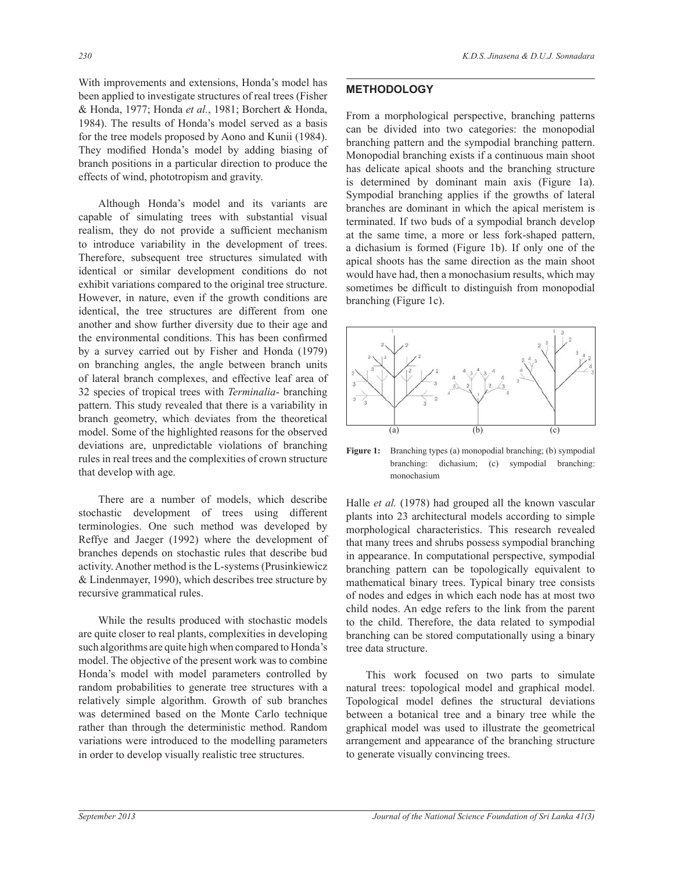With improvements and extensions, Honda's model has been applied to investigate structures of real trees (Fisher & Honda, 1977; Honda *et al.*, 1981; Borchert & Honda, 1984). The results of Honda's model served as a basis for the tree models proposed by Aono and Kunii (1984). They modified Honda's model by adding biasing of branch positions in a particular direction to produce the effects of wind, phototropism and gravity.

 Although Honda's model and its variants are capable of simulating trees with substantial visual realism, they do not provide a sufficient mechanism to introduce variability in the development of trees. Therefore, subsequent tree structures simulated with identical or similar development conditions do not exhibit variations compared to the original tree structure. However, in nature, even if the growth conditions are identical, the tree structures are different from one another and show further diversity due to their age and the environmental conditions. This has been confirmed by a survey carried out by Fisher and Honda (1979) on branching angles, the angle between branch units of lateral branch complexes, and effective leaf area of 32 species of tropical trees with *Terminalia*- branching pattern. This study revealed that there is a variability in branch geometry, which deviates from the theoretical model. Some of the highlighted reasons for the observed deviations are, unpredictable violations of branching rules in real trees and the complexities of crown structure that develop with age.

 There are a number of models, which describe stochastic development of trees using different terminologies. One such method was developed by Reffye and Jaeger (1992) where the development of branches depends on stochastic rules that describe bud activity. Another method is the L-systems (Prusinkiewicz & Lindenmayer, 1990), which describes tree structure by recursive grammatical rules.

 While the results produced with stochastic models are quite closer to real plants, complexities in developing such algorithms are quite high when compared to Honda's model. The objective of the present work was to combine Honda's model with model parameters controlled by random probabilities to generate tree structures with a relatively simple algorithm. Growth of sub branches was determined based on the Monte Carlo technique rather than through the deterministic method. Random variations were introduced to the modelling parameters in order to develop visually realistic tree structures.

## **METHODOLOGY**

From a morphological perspective, branching patterns can be divided into two categories: the monopodial branching pattern and the sympodial branching pattern. Monopodial branching exists if a continuous main shoot has delicate apical shoots and the branching structure is determined by dominant main axis (Figure 1a). Sympodial branching applies if the growths of lateral branches are dominant in which the apical meristem is terminated. If two buds of a sympodial branch develop at the same time, a more or less fork-shaped pattern, a dichasium is formed (Figure 1b). If only one of the apical shoots has the same direction as the main shoot would have had, then a monochasium results, which may sometimes be difficult to distinguish from monopodial branching (Figure 1c).



**Figure 1:** Branching types (a) monopodial branching; (b) sympodial branching: dichasium; (c) sympodial branching: monochasium

Halle *et al.* (1978) had grouped all the known vascular plants into 23 architectural models according to simple morphological characteristics. This research revealed that many trees and shrubs possess sympodial branching in appearance. In computational perspective, sympodial branching pattern can be topologically equivalent to mathematical binary trees. Typical binary tree consists of nodes and edges in which each node has at most two child nodes. An edge refers to the link from the parent to the child. Therefore, the data related to sympodial branching can be stored computationally using a binary tree data structure.

 This work focused on two parts to simulate natural trees: topological model and graphical model. Topological model defines the structural deviations between a botanical tree and a binary tree while the graphical model was used to illustrate the geometrical arrangement and appearance of the branching structure to generate visually convincing trees.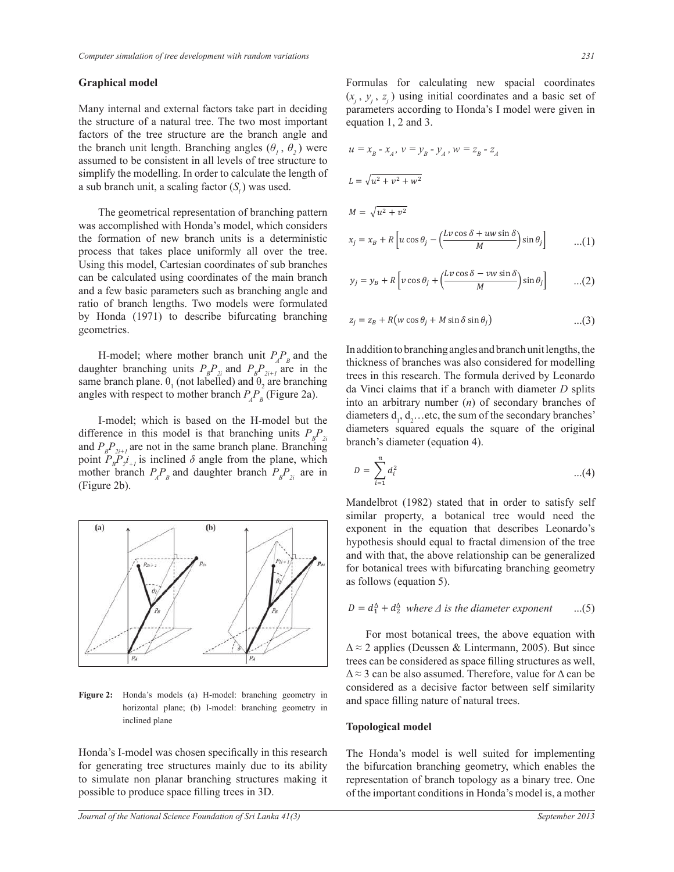#### **Graphical model**

Many internal and external factors take part in deciding the structure of a natural tree. The two most important factors of the tree structure are the branch angle and the branch unit length. Branching angles  $(\theta_i, \theta_j)$  were assumed to be consistent in all levels of tree structure to simplify the modelling. In order to calculate the length of a sub branch unit, a scaling factor  $(S_i)$  was used.

 The geometrical representation of branching pattern was accomplished with Honda's model, which considers the formation of new branch units is a deterministic process that takes place uniformly all over the tree. Using this model, Cartesian coordinates of sub branches can be calculated using coordinates of the main branch and a few basic parameters such as branching angle and ratio of branch lengths. Two models were formulated by Honda (1971) to describe bifurcating branching geometries.

H-model; where mother branch unit  $P_{A}P_{B}$  and the daughter branching units  $P_{B}P_{2i}$  and  $P_{B}P_{2i+1}$  are in the same branch plane.  $\theta_1$  (not labelled) and  $\theta_2$  are branching angles with respect to mother branch  $P_{A}P_{B}$  (Figure 2a).

 I-model; which is based on the H-model but the difference in this model is that branching units  $P_{B}P_{2i}$ and  $P_{B}P_{2i+1}$  are not in the same branch plane. Branching point  $P_{B}P_{2^{i}+1}$  is inclined  $\delta$  angle from the plane, which mother branch  $P_{A}P_{B}$  and daughter branch  $P_{B}P_{2i}$  are in (Figure 2b).



**Figure 2:** Honda's models (a) H-model: branching geometry in horizontal plane; (b) I-model: branching geometry in inclined plane

Honda's I-model was chosen specifically in this research for generating tree structures mainly due to its ability to simulate non planar branching structures making it possible to produce space filling trees in 3D.

Formulas for calculating new spacial coordinates  $(x_j, y_j, z_j)$  using initial coordinates and a basic set of parameters according to Honda's I model were given in equation 1, 2 and 3.

$$
u = x_B - x_A, v = y_B - y_A, w = z_B - z_A
$$
  
\n
$$
L = \sqrt{u^2 + v^2 + w^2}
$$
  
\n
$$
M = \sqrt{u^2 + v^2}
$$
  
\n
$$
x_j = x_B + R \left[ u \cos \theta_j - \left( \frac{Lv \cos \delta + uw \sin \delta}{M} \right) \sin \theta_j \right]
$$
...(1)

$$
y_j = y_B + R \left[ v \cos \theta_j + \left( \frac{Lv \cos \delta - vw \sin \delta}{M} \right) \sin \theta_j \right] \qquad \dots (2)
$$

$$
z_j = z_B + R(w \cos \theta_j + M \sin \delta \sin \theta_j)
$$
...(3)

In addition to branching angles and branch unit lengths, the thickness of branches was also considered for modelling trees in this research. The formula derived by Leonardo da Vinci claims that if a branch with diameter *D* splits into an arbitrary number (*n*) of secondary branches of diameters  $d_1, d_2$ ... etc, the sum of the secondary branches' diameters squared equals the square of the original branch's diameter (equation 4).

$$
D = \sum_{i=1}^{n} d_i^2 \qquad \qquad ...(4)
$$

Mandelbrot (1982) stated that in order to satisfy self similar property, a botanical tree would need the exponent in the equation that describes Leonardo's hypothesis should equal to fractal dimension of the tree and with that, the above relationship can be generalized for botanical trees with bifurcating branching geometry as follows (equation 5).

$$
D = d_1^{\Delta} + d_2^{\Delta} \text{ where } \Delta \text{ is the diameter exponent } \dots (5)
$$

 For most botanical trees, the above equation with  $\Delta \approx 2$  applies (Deussen & Lintermann, 2005). But since trees can be considered as space filling structures as well,  $\Delta \approx 3$  can be also assumed. Therefore, value for  $\Delta$  can be considered as a decisive factor between self similarity and space filling nature of natural trees.

#### **Topological model**

The Honda's model is well suited for implementing the bifurcation branching geometry, which enables the representation of branch topology as a binary tree. One of the important conditions in Honda's model is, a mother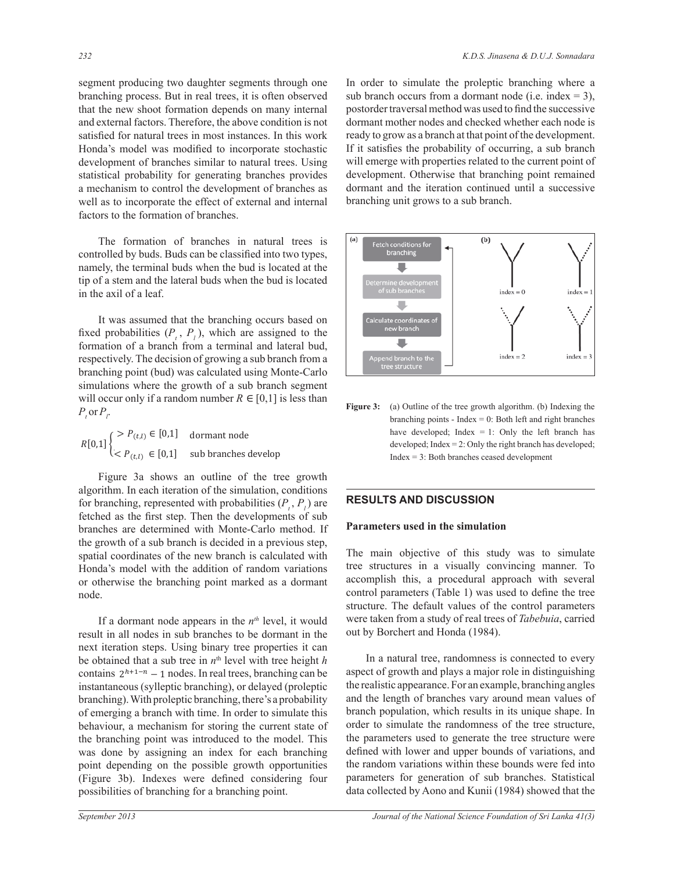segment producing two daughter segments through one branching process. But in real trees, it is often observed that the new shoot formation depends on many internal and external factors. Therefore, the above condition is not satisfied for natural trees in most instances. In this work Honda's model was modified to incorporate stochastic development of branches similar to natural trees. Using statistical probability for generating branches provides a mechanism to control the development of branches as well as to incorporate the effect of external and internal factors to the formation of branches.

 The formation of branches in natural trees is controlled by buds. Buds can be classified into two types, namely, the terminal buds when the bud is located at the tip of a stem and the lateral buds when the bud is located in the axil of a leaf.

 It was assumed that the branching occurs based on fixed probabilities  $(P_t, P_t)$ , which are assigned to the formation of a branch from a terminal and lateral bud, respectively. The decision of growing a sub branch from a branching point (bud) was calculated using Monte-Carlo simulations where the growth of a sub branch segment will occur only if a random number  $R \in [0,1]$  is less than  $P_t$  or  $P_t$ .

 $\in$  [0,1] dormant node  $R[0,1]$   $\left\{\begin{array}{cc} P(t,l) \in [0,1] & \text{dormant node} \\ \vdots & \vdots & \vdots \\ P(t, l) & \in [0,1] & \text{sub branches} \end{array}\right.$  $[0,1]$   $\begin{cases} 0,1 \end{cases}$   $\begin{cases} 0,1 \end{cases}$  sub branches develop  $\langle P_{(t,l)} \in [0,1]$  sub branches develop  $[0,1]$   $\left\{ \begin{array}{l} & P(t,l) \in [0,1] \\ & \text{domant node} \end{array} \right\}$  $\leq P_{\text{max}} \in [0, 1]$  sub branches develop

 Figure 3a shows an outline of the tree growth algorithm. In each iteration of the simulation, conditions for branching, represented with probabilities  $(P_t, P_l)$  are fetched as the first step. Then the developments of sub branches are determined with Monte-Carlo method. If the growth of a sub branch is decided in a previous step, spatial coordinates of the new branch is calculated with Honda's model with the addition of random variations or otherwise the branching point marked as a dormant node.

If a dormant node appears in the  $n<sup>th</sup>$  level, it would result in all nodes in sub branches to be dormant in the next iteration steps. Using binary tree properties it can be obtained that a sub tree in  $n<sup>th</sup>$  level with tree height *h* contains  $2^{h+1-n} - 1$  nodes. In real trees, branching can be instantaneous (sylleptic branching), or delayed (proleptic branching). With proleptic branching, there's a probability of emerging a branch with time. In order to simulate this behaviour, a mechanism for storing the current state of the branching point was introduced to the model. This was done by assigning an index for each branching point depending on the possible growth opportunities (Figure 3b). Indexes were defined considering four possibilities of branching for a branching point.

In order to simulate the proleptic branching where a sub branch occurs from a dormant node (i.e. index  $= 3$ ), postorder traversal method was used to find the successive dormant mother nodes and checked whether each node is ready to grow as a branch at that point of the development. If it satisfies the probability of occurring, a sub branch will emerge with properties related to the current point of development. Otherwise that branching point remained dormant and the iteration continued until a successive branching unit grows to a sub branch.



Figure 3: (a) Outline of the tree growth algorithm. (b) Indexing the branching points - Index  $= 0$ : Both left and right branches have developed; Index  $= 1$ : Only the left branch has developed; Index = 2: Only the right branch has developed; Index = 3: Both branches ceased development

## **RESULTS AND DISCUSSION**

## **Parameters used in the simulation**

The main objective of this study was to simulate tree structures in a visually convincing manner. To accomplish this, a procedural approach with several control parameters (Table 1) was used to define the tree structure. The default values of the control parameters were taken from a study of real trees of *Tabebuia*, carried out by Borchert and Honda (1984).

 In a natural tree, randomness is connected to every aspect of growth and plays a major role in distinguishing the realistic appearance. For an example, branching angles and the length of branches vary around mean values of branch population, which results in its unique shape. In order to simulate the randomness of the tree structure, the parameters used to generate the tree structure were defined with lower and upper bounds of variations, and the random variations within these bounds were fed into parameters for generation of sub branches. Statistical data collected by Aono and Kunii (1984) showed that the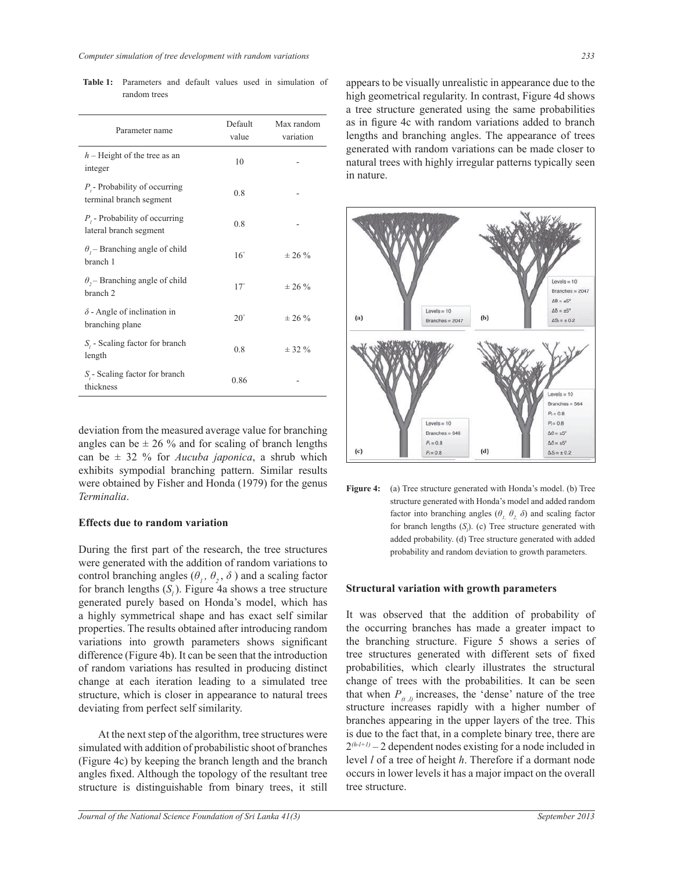| Parameter name                                               | Default<br>value | Max random<br>variation |
|--------------------------------------------------------------|------------------|-------------------------|
| $h$ – Height of the tree as an<br>integer                    | 10               |                         |
| $P_{i}$ Probability of occurring<br>terminal branch segment  | 0.8              |                         |
| $P_i$ - Probability of occurring<br>lateral branch segment   | 0.8              |                         |
| $\theta$ , – Branching angle of child<br>branch 1            | $16^\circ$       | $± 26 \%$               |
| $\theta$ , – Branching angle of child<br>branch <sub>2</sub> | $17^\circ$       | $\pm 26 \%$             |
| $\delta$ - Angle of inclination in<br>branching plane        | $20^{\circ}$     | $\pm 26 \%$             |
| $S_i$ - Scaling factor for branch<br>length                  | 0.8              | $± 32 \%$               |
| $Sr$ - Scaling factor for branch<br>thickness                | 0.86             |                         |

**Table 1:** Parameters and default values used in simulation of random trees

deviation from the measured average value for branching angles can be  $\pm$  26 % and for scaling of branch lengths can be ± 32 % for *Aucuba japonica*, a shrub which exhibits sympodial branching pattern. Similar results were obtained by Fisher and Honda (1979) for the genus *Terminalia*.

#### **Effects due to random variation**

During the first part of the research, the tree structures were generated with the addition of random variations to control branching angles  $(\theta_1, \theta_2, \delta)$  and a scaling factor for branch lengths  $(S_i)$ . Figure 4a shows a tree structure generated purely based on Honda's model, which has a highly symmetrical shape and has exact self similar properties. The results obtained after introducing random variations into growth parameters shows significant difference (Figure 4b). It can be seen that the introduction of random variations has resulted in producing distinct change at each iteration leading to a simulated tree structure, which is closer in appearance to natural trees deviating from perfect self similarity.

 At the next step of the algorithm, tree structures were simulated with addition of probabilistic shoot of branches (Figure 4c) by keeping the branch length and the branch angles fixed. Although the topology of the resultant tree structure is distinguishable from binary trees, it still appears to be visually unrealistic in appearance due to the high geometrical regularity. In contrast, Figure 4d shows a tree structure generated using the same probabilities as in figure 4c with random variations added to branch lengths and branching angles. The appearance of trees generated with random variations can be made closer to natural trees with highly irregular patterns typically seen in nature.



**Figure 4:** (a) Tree structure generated with Honda's model. (b) Tree structure generated with Honda's model and added random factor into branching angles  $(\theta, \theta, \delta)$  and scaling factor for branch lengths  $(S<sub>i</sub>)$ . (c) Tree structure generated with added probability. (d) Tree structure generated with added probability and random deviation to growth parameters.

#### **Structural variation with growth parameters**

It was observed that the addition of probability of the occurring branches has made a greater impact to the branching structure. Figure 5 shows a series of tree structures generated with different sets of fixed probabilities, which clearly illustrates the structural change of trees with the probabilities. It can be seen that when  $P_{(t,l)}$  increases, the 'dense' nature of the tree structure increases rapidly with a higher number of branches appearing in the upper layers of the tree. This is due to the fact that, in a complete binary tree, there are  $2^{(h-l+1)}$  – 2 dependent nodes existing for a node included in level *l* of a tree of height *h*. Therefore if a dormant node occurs in lower levels it has a major impact on the overall tree structure.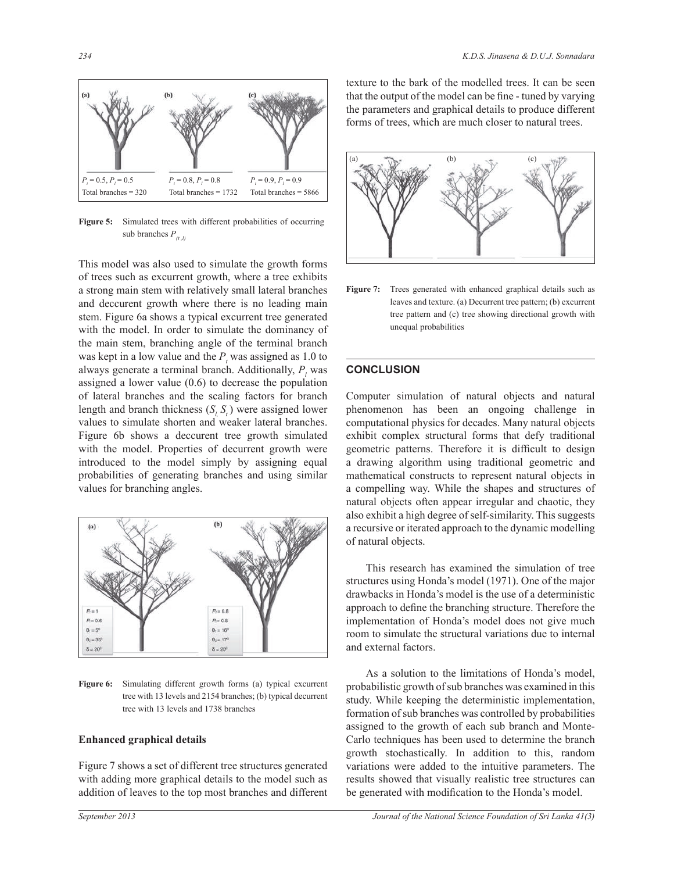

Figure 5: Simulated trees with different probabilities of occurring sub branches  $P_{(t,l)}$ 

This model was also used to simulate the growth forms of trees such as excurrent growth, where a tree exhibits a strong main stem with relatively small lateral branches and deccurent growth where there is no leading main stem. Figure 6a shows a typical excurrent tree generated with the model. In order to simulate the dominancy of the main stem, branching angle of the terminal branch was kept in a low value and the  $P<sub>t</sub>$  was assigned as 1.0 to always generate a terminal branch. Additionally,  $P_l$  was assigned a lower value (0.6) to decrease the population of lateral branches and the scaling factors for branch length and branch thickness  $(S_l, S_l)$  were assigned lower values to simulate shorten and weaker lateral branches. Figure 6b shows a deccurent tree growth simulated with the model. Properties of decurrent growth were introduced to the model simply by assigning equal probabilities of generating branches and using similar values for branching angles.



**Figure 6:** Simulating different growth forms (a) typical excurrent tree with 13 levels and 2154 branches; (b) typical decurrent tree with 13 levels and 1738 branches

#### **Enhanced graphical details**

Figure 7 shows a set of different tree structures generated with adding more graphical details to the model such as addition of leaves to the top most branches and different texture to the bark of the modelled trees. It can be seen that the output of the model can be fine - tuned by varying the parameters and graphical details to produce different forms of trees, which are much closer to natural trees.



**Figure 7:** Trees generated with enhanced graphical details such as leaves and texture. (a) Decurrent tree pattern; (b) excurrent tree pattern and (c) tree showing directional growth with unequal probabilities

# **CONCLUSION**

Computer simulation of natural objects and natural phenomenon has been an ongoing challenge in computational physics for decades. Many natural objects exhibit complex structural forms that defy traditional geometric patterns. Therefore it is difficult to design a drawing algorithm using traditional geometric and mathematical constructs to represent natural objects in a compelling way. While the shapes and structures of natural objects often appear irregular and chaotic, they also exhibit a high degree of self-similarity. This suggests a recursive or iterated approach to the dynamic modelling of natural objects.

 This research has examined the simulation of tree structures using Honda's model (1971). One of the major drawbacks in Honda's model is the use of a deterministic approach to define the branching structure. Therefore the implementation of Honda's model does not give much room to simulate the structural variations due to internal and external factors.

 As a solution to the limitations of Honda's model, probabilistic growth of sub branches was examined in this study. While keeping the deterministic implementation, formation of sub branches was controlled by probabilities assigned to the growth of each sub branch and Monte-Carlo techniques has been used to determine the branch growth stochastically. In addition to this, random variations were added to the intuitive parameters. The results showed that visually realistic tree structures can be generated with modification to the Honda's model.